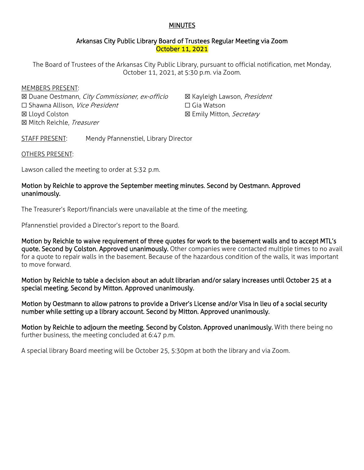### MINUTES

### Arkansas City Public Library Board of Trustees Regular Meeting via Zoom October 11, 2021

The Board of Trustees of the Arkansas City Public Library, pursuant to official notification, met Monday, October 11, 2021, at 5:30 p.m. via Zoom.

#### MEMBERS PRESENT:

☒ Duane Oestmann, City Commissioner, ex-officio □ Shawna Allison, Vice President ☒ Lloyd Colston ☒ Mitch Reichle, Treasurer

⊠ Kayleigh Lawson, President ☐ Gia Watson ⊠ Emily Mitton, Secretary

STAFF PRESENT: Mendy Pfannenstiel, Library Director

#### OTHERS PRESENT:

Lawson called the meeting to order at 5:32 p.m.

# Motion by Reichle to approve the September meeting minutes. Second by Oestmann. Approved unanimously.

The Treasurer's Report/financials were unavailable at the time of the meeting.

Pfannenstiel provided a Director's report to the Board.

Motion by Reichle to waive requirement of three quotes for work to the basement walls and to accept MTL's quote. Second by Colston. Approved unanimously. Other companies were contacted multiple times to no avail for a quote to repair walls in the basement. Because of the hazardous condition of the walls, it was important to move forward.

Motion by Reichle to table a decision about an adult librarian and/or salary increases until October 25 at a special meeting. Second by Mitton. Approved unanimously.

Motion by Oestmann to allow patrons to provide a Driver's License and/or Visa in lieu of a social security number while setting up a library account. Second by Mitton. Approved unanimously.

Motion by Reichle to adjourn the meeting. Second by Colston. Approved unanimously. With there being no further business, the meeting concluded at 6:47 p.m.

A special library Board meeting will be October 25, 5:30pm at both the library and via Zoom.